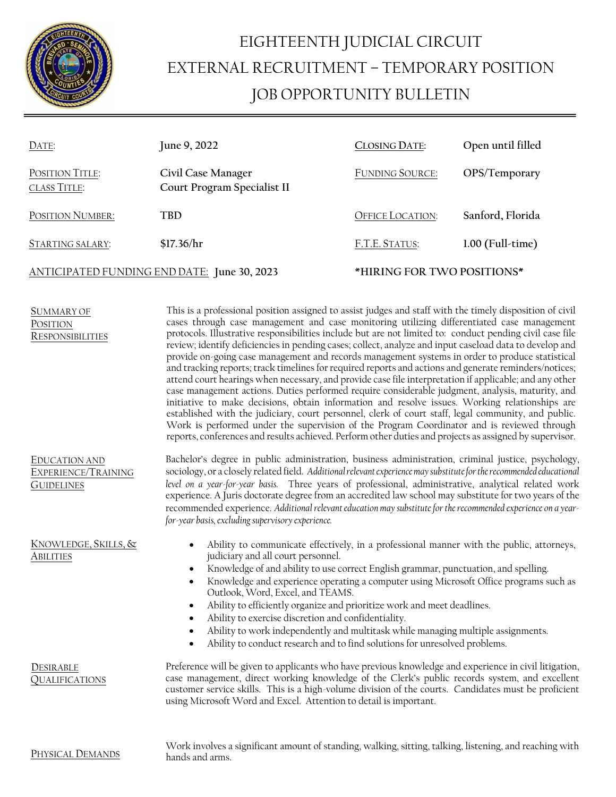

## EIGHTEENTH JUDICIAL CIRCUIT EXTERNAL RECRUITMENT – TEMPORARY POSITION JOB OPPORTUNITY BULLETIN

| DATE:                                       | June 9, 2022                                      | <b>CLOSING DATE:</b>       | Open until filled  |
|---------------------------------------------|---------------------------------------------------|----------------------------|--------------------|
| POSITION TITLE:<br><b>CLASS TITLE:</b>      | Civil Case Manager<br>Court Program Specialist II | <b>FUNDING SOURCE:</b>     | OPS/Temporary      |
| POSITION NUMBER:                            | <b>TBD</b>                                        | <b>OFFICE LOCATION:</b>    | Sanford, Florida   |
| <b>STARTING SALARY:</b>                     | \$17.36/hr                                        | F.T.E. STATUS:             | $1.00$ (Full-time) |
| ANTICIPATED FUNDING END DATE: June 30, 2023 |                                                   | *HIRING FOR TWO POSITIONS* |                    |

| SUMMARY OF              |  |
|-------------------------|--|
| POSITION                |  |
| <b>RESPONSIBILITIES</b> |  |

This is a professional position assigned to assist judges and staff with the timely disposition of civil cases through case management and case monitoring utilizing differentiated case management protocols. Illustrative responsibilities include but are not limited to: conduct pending civil case file review; identify deficiencies in pending cases; collect, analyze and input caseload data to develop and provide on-going case management and records management systems in order to produce statistical and tracking reports; track timelines for required reports and actions and generate reminders/notices; attend court hearings when necessary, and provide case file interpretation if applicable; and any other case management actions. Duties performed require considerable judgment, analysis, maturity, and initiative to make decisions, obtain information and resolve issues. Working relationships are established with the judiciary, court personnel, clerk of court staff, legal community, and public. Work is performed under the supervision of the Program Coordinator and is reviewed through reports, conferences and results achieved. Perform other duties and projects as assigned by supervisor.

EDUCATION AND EXPERIENCE/TRAINING **GUIDELINES** 

Bachelor's degree in public administration, business administration, criminal justice, psychology, sociology, or a closely related field. *Additional relevant experience may substitute for the recommended educational level on a year-for-year basis.* Three years of professional, administrative, analytical related work experience. A Juris doctorate degree from an accredited law school may substitute for two years of the recommended experience. *Additional relevant education may substitute for the recommended experience on a yearfor-year basis, excluding supervisory experience.* 

KNOWLEDGE, SKILLS, & **ABILITIES** 

- Ability to communicate effectively, in a professional manner with the public, attorneys, judiciary and all court personnel.
- Knowledge of and ability to use correct English grammar, punctuation, and spelling.
- Knowledge and experience operating a computer using Microsoft Office programs such as Outlook, Word, Excel, and TEAMS.
- Ability to efficiently organize and prioritize work and meet deadlines.
- Ability to exercise discretion and confidentiality.
- Ability to work independently and multitask while managing multiple assignments.
- Ability to conduct research and to find solutions for unresolved problems.

QUALIFICATIONS Preference will be given to applicants who have previous knowledge and experience in civil litigation, case management, direct working knowledge of the Clerk's public records system, and excellent customer service skills. This is a high-volume division of the courts. Candidates must be proficient using Microsoft Word and Excel. Attention to detail is important.

**DESIRABLE** 

Work involves a significant amount of standing, walking, sitting, talking, listening, and reaching with hands and arms.